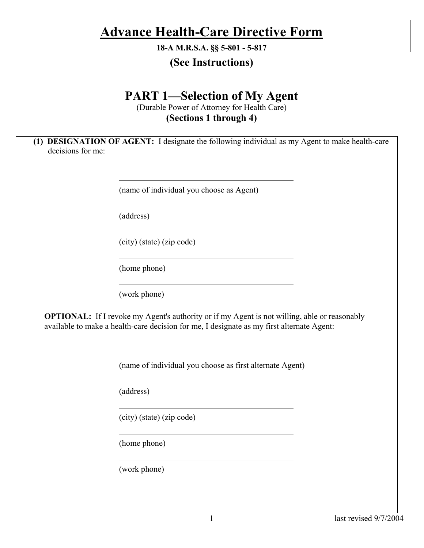# **Advance Health-Care Directive Form**

**18-A M.R.S.A. §§ 5-801 - 5-817** 

## **(See Instructions)**

# **PART 1—Selection of My Agent**

(Durable Power of Attorney for Health Care) **(Sections 1 through 4)** 

**(1) DESIGNATION OF AGENT:** I designate the following individual as my Agent to make health-care decisions for me:

(name of individual you choose as Agent)

(address)

(city) (state) (zip code)

(home phone)

(work phone)

**OPTIONAL:** If I revoke my Agent's authority or if my Agent is not willing, able or reasonably available to make a health-care decision for me, I designate as my first alternate Agent:

(name of individual you choose as first alternate Agent)

(address)

(city) (state) (zip code)

(home phone)

(work phone)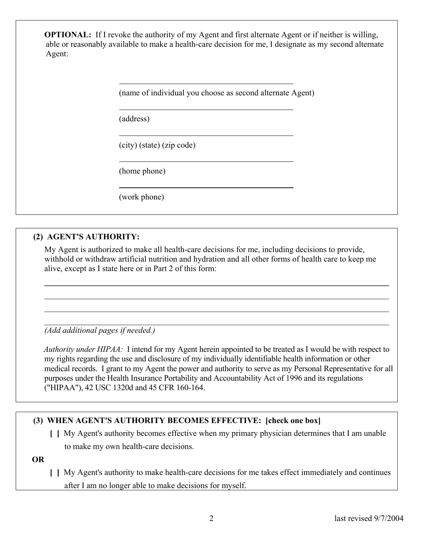**OPTIONAL:** If I revoke the authority of my Agent and first alternate Agent or if neither is willing, able or reasonably available to make a health-care decision for me, I designate as my second alternate Agent:

(name of individual you choose as second alternate Agent)

(address)

(city) (state) (zip code)

(home phone)

(work phone)

### **(2) AGENT'S AUTHORITY:**

 My Agent is authorized to make all health-care decisions for me, including decisions to provide, withhold or withdraw artificial nutrition and hydration and all other forms of health care to keep me alive, except as I state here or in Part 2 of this form:

 $\mathcal{L}_\mathcal{L} = \{ \mathcal{L}_\mathcal{L} = \{ \mathcal{L}_\mathcal{L} = \{ \mathcal{L}_\mathcal{L} = \{ \mathcal{L}_\mathcal{L} = \{ \mathcal{L}_\mathcal{L} = \{ \mathcal{L}_\mathcal{L} = \{ \mathcal{L}_\mathcal{L} = \{ \mathcal{L}_\mathcal{L} = \{ \mathcal{L}_\mathcal{L} = \{ \mathcal{L}_\mathcal{L} = \{ \mathcal{L}_\mathcal{L} = \{ \mathcal{L}_\mathcal{L} = \{ \mathcal{L}_\mathcal{L} = \{ \mathcal{L}_\mathcal{$ 

 $\mathcal{L}_\mathcal{L} = \{ \mathcal{L}_\mathcal{L} = \{ \mathcal{L}_\mathcal{L} = \{ \mathcal{L}_\mathcal{L} = \{ \mathcal{L}_\mathcal{L} = \{ \mathcal{L}_\mathcal{L} = \{ \mathcal{L}_\mathcal{L} = \{ \mathcal{L}_\mathcal{L} = \{ \mathcal{L}_\mathcal{L} = \{ \mathcal{L}_\mathcal{L} = \{ \mathcal{L}_\mathcal{L} = \{ \mathcal{L}_\mathcal{L} = \{ \mathcal{L}_\mathcal{L} = \{ \mathcal{L}_\mathcal{L} = \{ \mathcal{L}_\mathcal{$  $\_$  , and the contribution of the contribution of the contribution of the contribution of  $\mathcal{L}_\text{max}$  $\mathcal{L}_\mathcal{L} = \{ \mathcal{L}_\mathcal{L} = \{ \mathcal{L}_\mathcal{L} = \{ \mathcal{L}_\mathcal{L} = \{ \mathcal{L}_\mathcal{L} = \{ \mathcal{L}_\mathcal{L} = \{ \mathcal{L}_\mathcal{L} = \{ \mathcal{L}_\mathcal{L} = \{ \mathcal{L}_\mathcal{L} = \{ \mathcal{L}_\mathcal{L} = \{ \mathcal{L}_\mathcal{L} = \{ \mathcal{L}_\mathcal{L} = \{ \mathcal{L}_\mathcal{L} = \{ \mathcal{L}_\mathcal{L} = \{ \mathcal{L}_\mathcal{$ 

*(Add additional pages if needed.)* 

*Authority under HIPAA:* I intend for my Agent herein appointed to be treated as I would be with respect to my rights regarding the use and disclosure of my individually identifiable health information or other medical records. I grant to my Agent the power and authority to serve as my Personal Representative for all purposes under the Health Insurance Portability and Accountability Act of 1996 and its regulations ("HIPAA"), 42 USC 1320d and 45 CFR 160-164.

### **(3) WHEN AGENT'S AUTHORITY BECOMES EFFECTIVE: [check one box]**

 **[ ]** My Agent's authority becomes effective when my primary physician determines that I am unable to make my own health-care decisions.

 **OR** 

 **[ ]** My Agent's authority to make health-care decisions for me takes effect immediately and continues after I am no longer able to make decisions for myself.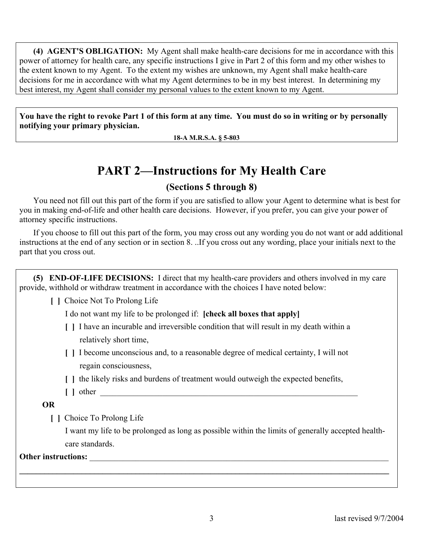**(4) AGENT'S OBLIGATION:** My Agent shall make health-care decisions for me in accordance with this power of attorney for health care, any specific instructions I give in Part 2 of this form and my other wishes to the extent known to my Agent. To the extent my wishes are unknown, my Agent shall make health-care decisions for me in accordance with what my Agent determines to be in my best interest. In determining my best interest, my Agent shall consider my personal values to the extent known to my Agent.

**You have the right to revoke Part 1 of this form at any time. You must do so in writing or by personally notifying your primary physician.** 

**18-A M.R.S.A. § 5-803** 

# **PART 2—Instructions for My Health Care**

### **(Sections 5 through 8)**

You need not fill out this part of the form if you are satisfied to allow your Agent to determine what is best for you in making end-of-life and other health care decisions. However, if you prefer, you can give your power of attorney specific instructions.

If you choose to fill out this part of the form, you may cross out any wording you do not want or add additional instructions at the end of any section or in section 8. ..If you cross out any wording, place your initials next to the part that you cross out.

**(5) END-OF-LIFE DECISIONS:** I direct that my health-care providers and others involved in my care provide, withhold or withdraw treatment in accordance with the choices I have noted below:

 **[ ]** Choice Not To Prolong Life

I do not want my life to be prolonged if: **[check all boxes that apply]**

- **[ ]** I have an incurable and irreversible condition that will result in my death within a relatively short time,
- **[ ]** I become unconscious and, to a reasonable degree of medical certainty, I will not regain consciousness,
- **[ ]** the likely risks and burdens of treatment would outweigh the expected benefits,
- $\begin{bmatrix} \end{bmatrix}$  other

 **OR** 

 **[ ]** Choice To Prolong Life

 I want my life to be prolonged as long as possible within the limits of generally accepted health care standards.

#### Other instructions:

**\_\_\_\_\_\_\_\_\_\_\_\_\_\_\_\_\_\_\_\_\_\_\_\_\_\_\_\_\_\_\_\_\_\_\_\_\_\_\_\_\_\_\_\_\_\_\_\_\_\_\_\_\_\_\_\_\_\_\_\_\_\_\_\_\_\_\_\_\_\_\_\_\_\_\_\_\_\_\_\_\_\_\_\_\_\_\_\_\_**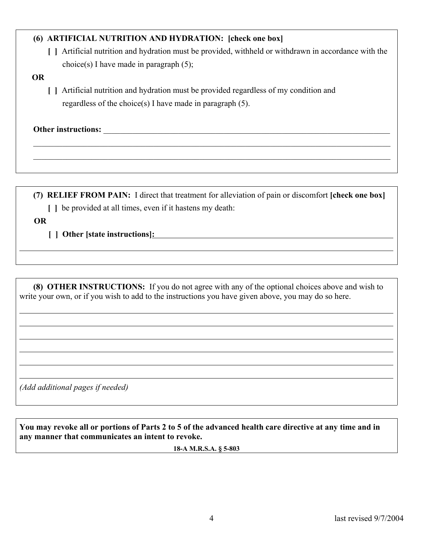### **(6) ARTIFICIAL NUTRITION AND HYDRATION: [check one box]**

 **[ ]** Artificial nutrition and hydration must be provided, withheld or withdrawn in accordance with the choice(s) I have made in paragraph  $(5)$ ;

#### **OR**

 **[ ]** Artificial nutrition and hydration must be provided regardless of my condition and regardless of the choice(s) I have made in paragraph (5).

Other instructions:

**(7) RELIEF FROM PAIN:** I direct that treatment for alleviation of pain or discomfort **[check one box] [ ]** be provided at all times, even if it hastens my death:

 $\mathcal{L}_\mathcal{L} = \{ \mathcal{L}_\mathcal{L} = \{ \mathcal{L}_\mathcal{L} = \{ \mathcal{L}_\mathcal{L} = \{ \mathcal{L}_\mathcal{L} = \{ \mathcal{L}_\mathcal{L} = \{ \mathcal{L}_\mathcal{L} = \{ \mathcal{L}_\mathcal{L} = \{ \mathcal{L}_\mathcal{L} = \{ \mathcal{L}_\mathcal{L} = \{ \mathcal{L}_\mathcal{L} = \{ \mathcal{L}_\mathcal{L} = \{ \mathcal{L}_\mathcal{L} = \{ \mathcal{L}_\mathcal{L} = \{ \mathcal{L}_\mathcal{$  $\mathcal{L}_\mathcal{L} = \{ \mathcal{L}_\mathcal{L} = \{ \mathcal{L}_\mathcal{L} = \{ \mathcal{L}_\mathcal{L} = \{ \mathcal{L}_\mathcal{L} = \{ \mathcal{L}_\mathcal{L} = \{ \mathcal{L}_\mathcal{L} = \{ \mathcal{L}_\mathcal{L} = \{ \mathcal{L}_\mathcal{L} = \{ \mathcal{L}_\mathcal{L} = \{ \mathcal{L}_\mathcal{L} = \{ \mathcal{L}_\mathcal{L} = \{ \mathcal{L}_\mathcal{L} = \{ \mathcal{L}_\mathcal{L} = \{ \mathcal{L}_\mathcal{$ 

 **OR**

 $\overline{a}$ 

 $\overline{a}$  $\overline{a}$  **[ ] Other [state instructions]:**

**(8) OTHER INSTRUCTIONS:** If you do not agree with any of the optional choices above and wish to write your own, or if you wish to add to the instructions you have given above, you may do so here.

*(Add additional pages if needed)* 

**You may revoke all or portions of Parts 2 to 5 of the advanced health care directive at any time and in any manner that communicates an intent to revoke.** 

**18-A M.R.S.A. § 5-803**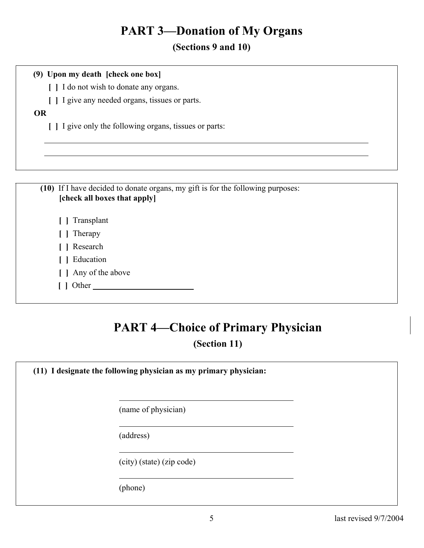# **PART 3—Donation of My Organs**

**(Sections 9 and 10)**

#### **(9) Upon my death [check one box]**

 **[ ]** I do not wish to donate any organs.

 **[ ]** I give any needed organs, tissues or parts.

### **OR**

 $\overline{a}$ 

 **[ ]** I give only the following organs, tissues or parts:

**(10)** If I have decided to donate organs, my gift is for the following purposes: **[check all boxes that apply] [ ]** Transplant  **[ ]** Therapy  **[ ]** Research  **[ ]** Education  **[ ]** Any of the above  **[ ]** Other

# **PART 4—Choice of Primary Physician (Section 11)**

**(11) I designate the following physician as my primary physician:**

(name of physician)

(address)

(city) (state) (zip code)

(phone)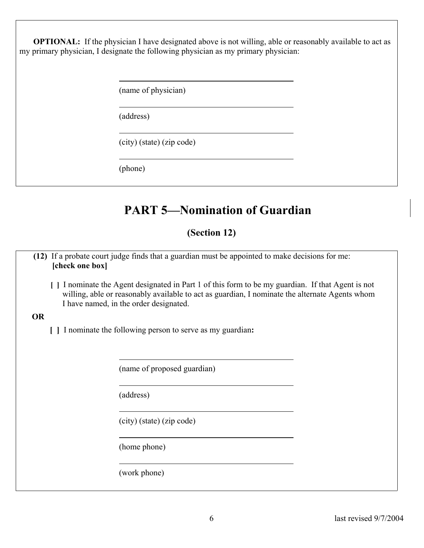**OPTIONAL:** If the physician I have designated above is not willing, able or reasonably available to act as my primary physician, I designate the following physician as my primary physician:

(name of physician)

(address)

(city) (state) (zip code)

(phone)

# **PART 5—Nomination of Guardian**

### **(Section 12)**

**(12)** If a probate court judge finds that a guardian must be appointed to make decisions for me: **[check one box]** 

 **[ ]** I nominate the Agent designated in Part 1 of this form to be my guardian. If that Agent is not willing, able or reasonably available to act as guardian, I nominate the alternate Agents whom I have named, in the order designated.

#### **OR**

 **[ ]** I nominate the following person to serve as my guardian**:** 

(name of proposed guardian)

(address)

(city) (state) (zip code)

(home phone)

(work phone)